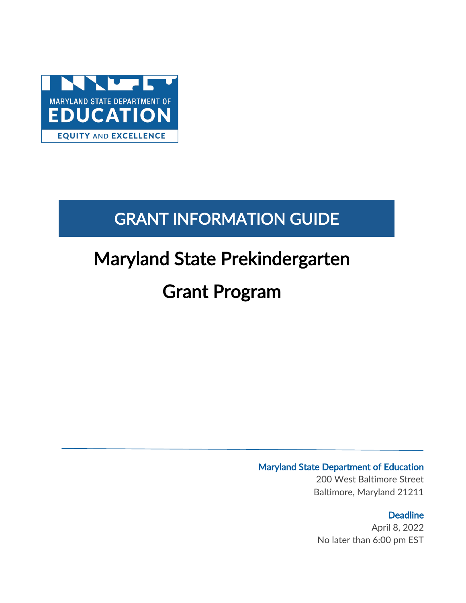

# GRANT INFORMATION GUIDE

# Maryland State Prekindergarten

# Grant Program

### Maryland State Department of Education

200 West Baltimore Street Baltimore, Maryland 21211

### **Deadline**

April 8, 2022 No later than 6:00 pm EST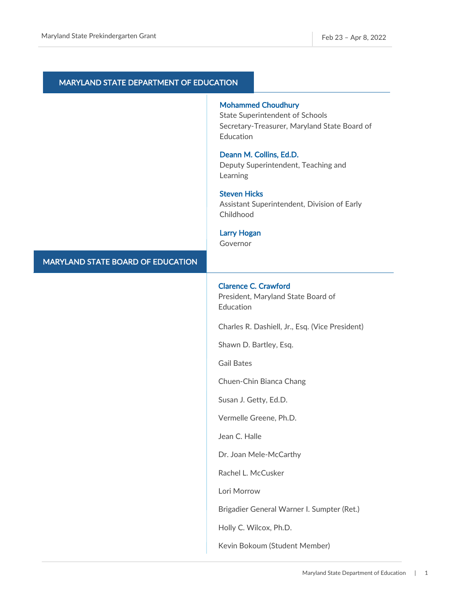| <b>MARYLAND STATE DEPARTMENT OF EDUCATION</b> |                                                                                                                                  |
|-----------------------------------------------|----------------------------------------------------------------------------------------------------------------------------------|
|                                               | <b>Mohammed Choudhury</b><br><b>State Superintendent of Schools</b><br>Secretary-Treasurer, Maryland State Board of<br>Education |
|                                               | Deann M. Collins, Ed.D.<br>Deputy Superintendent, Teaching and<br>Learning                                                       |
|                                               | <b>Steven Hicks</b><br>Assistant Superintendent, Division of Early<br>Childhood                                                  |
|                                               | <b>Larry Hogan</b><br>Governor                                                                                                   |
| <b>MARYLAND STATE BOARD OF EDUCATION</b>      |                                                                                                                                  |
|                                               | <b>Clarence C. Crawford</b><br>President, Maryland State Board of<br>Education                                                   |
|                                               | Charles R. Dashiell, Jr., Esq. (Vice President)                                                                                  |
|                                               | Shawn D. Bartley, Esq.                                                                                                           |
|                                               | <b>Gail Bates</b>                                                                                                                |
|                                               | Chuen-Chin Bianca Chang                                                                                                          |
|                                               | Susan J. Getty, Ed.D.                                                                                                            |
|                                               | Vermelle Greene, Ph.D.                                                                                                           |
|                                               | Jean C. Halle                                                                                                                    |
|                                               | Dr. Joan Mele-McCarthy                                                                                                           |
|                                               | Rachel L. McCusker                                                                                                               |
|                                               | Lori Morrow                                                                                                                      |
|                                               | Brigadier General Warner I. Sumpter (Ret.)                                                                                       |
|                                               | Holly C. Wilcox, Ph.D.                                                                                                           |
|                                               | Kevin Bokoum (Student Member)                                                                                                    |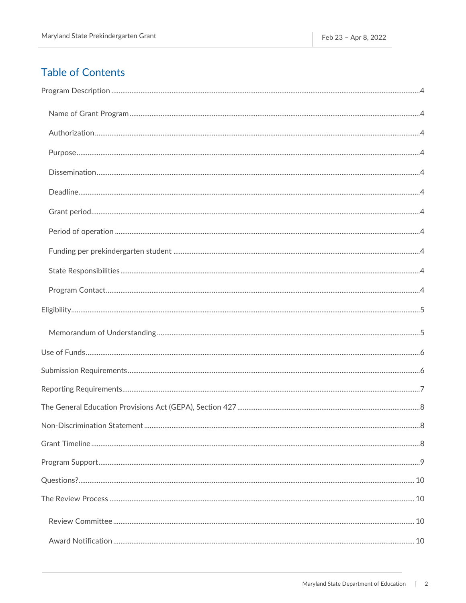### **Table of Contents**

| 8 |
|---|
|   |
|   |
|   |
|   |
|   |
|   |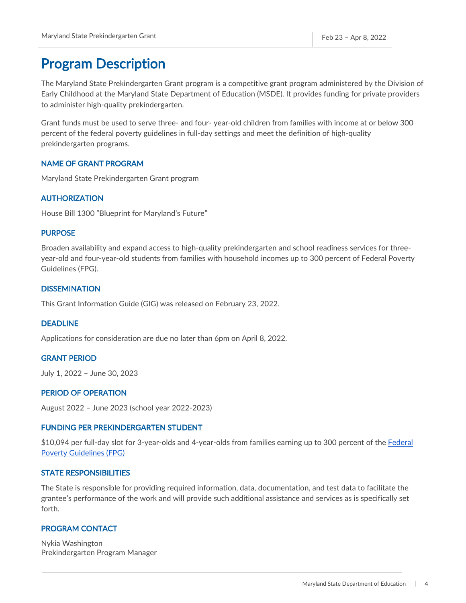### <span id="page-4-0"></span>Program Description

The Maryland State Prekindergarten Grant program is a competitive grant program administered by the Division of Early Childhood at the Maryland State Department of Education (MSDE). It provides funding for private providers to administer high-quality prekindergarten.

Grant funds must be used to serve three- and four- year-old children from families with income at or below 300 percent of the federal poverty guidelines in full-day settings and meet the definition of high-quality prekindergarten programs.

### <span id="page-4-1"></span>NAME OF GRANT PROGRAM

Maryland State Prekindergarten Grant program

### <span id="page-4-2"></span>AUTHORIZATION

House Bill 1300 "Blueprint for Maryland's Future"

#### <span id="page-4-3"></span>PURPOSE

Broaden availability and expand access to high-quality prekindergarten and school readiness services for threeyear-old and four-year-old students from families with household incomes up to 300 percent of Federal Poverty Guidelines (FPG).

#### <span id="page-4-4"></span>**DISSEMINATION**

This Grant Information Guide (GIG) was released on February 23, 2022.

#### <span id="page-4-5"></span>DEADLINE

Applications for consideration are due no later than 6pm on April 8, 2022.

#### <span id="page-4-6"></span>GRANT PERIOD

July 1, 2022 – June 30, 2023

### <span id="page-4-7"></span>PERIOD OF OPERATION

August 2022 – June 2023 (school year 2022-2023)

### <span id="page-4-8"></span>FUNDING PER PREKINDERGARTEN STUDENT

\$10,094 per full-day slot for 3-year-olds and 4-year-olds from families earning up to 300 percent of the Federal [Poverty Guidelines \(FPG\)](https://aspe.hhs.gov/sites/default/files/documents/4b515876c4674466423975826ac57583/Guidelines-2022.pdf) 

### <span id="page-4-9"></span>STATE RESPONSIBILITIES

The State is responsible for providing required information, data, documentation, and test data to facilitate the grantee's performance of the work and will provide such additional assistance and services as is specifically set forth.

### <span id="page-4-10"></span>PROGRAM CONTACT

Nykia Washington Prekindergarten Program Manager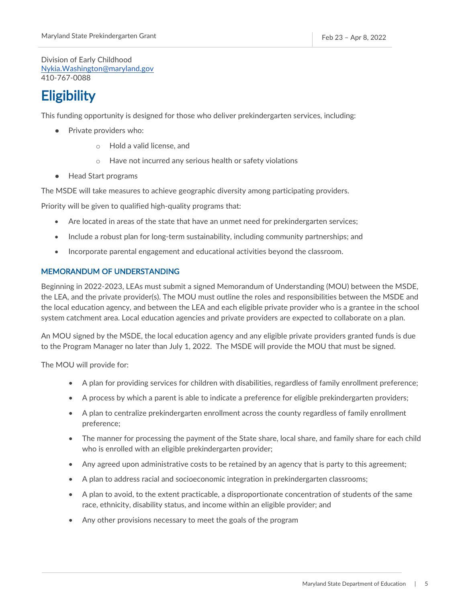Division of Early Childhood [Nykia.Washington@maryland.gov](mailto:Nykia.Washington@maryland.gov)  410-767-0088

# <span id="page-5-0"></span>**Eligibility**

This funding opportunity is designed for those who deliver prekindergarten services, including:

- Private providers who:
	- o Hold a valid license, and
	- o Have not incurred any serious health or safety violations
- Head Start programs

The MSDE will take measures to achieve geographic diversity among participating providers.

Priority will be given to qualified high-quality programs that:

- Are located in areas of the state that have an unmet need for prekindergarten services;
- Include a robust plan for long-term sustainability, including community partnerships; and
- Incorporate parental engagement and educational activities beyond the classroom.

### <span id="page-5-1"></span>MEMORANDUM OF UNDERSTANDING

Beginning in 2022-2023, LEAs must submit a signed Memorandum of Understanding (MOU) between the MSDE, the LEA, and the private provider(s). The MOU must outline the roles and responsibilities between the MSDE and the local education agency, and between the LEA and each eligible private provider who is a grantee in the school system catchment area. Local education agencies and private providers are expected to collaborate on a plan.

An MOU signed by the MSDE, the local education agency and any eligible private providers granted funds is due to the Program Manager no later than July 1, 2022. The MSDE will provide the MOU that must be signed.

The MOU will provide for:

- A plan for providing services for children with disabilities, regardless of family enrollment preference;
- A process by which a parent is able to indicate a preference for eligible prekindergarten providers;
- A plan to centralize prekindergarten enrollment across the county regardless of family enrollment preference;
- The manner for processing the payment of the State share, local share, and family share for each child who is enrolled with an eligible prekindergarten provider;
- Any agreed upon administrative costs to be retained by an agency that is party to this agreement;
- A plan to address racial and socioeconomic integration in prekindergarten classrooms;
- A plan to avoid, to the extent practicable, a disproportionate concentration of students of the same race, ethnicity, disability status, and income within an eligible provider; and
- Any other provisions necessary to meet the goals of the program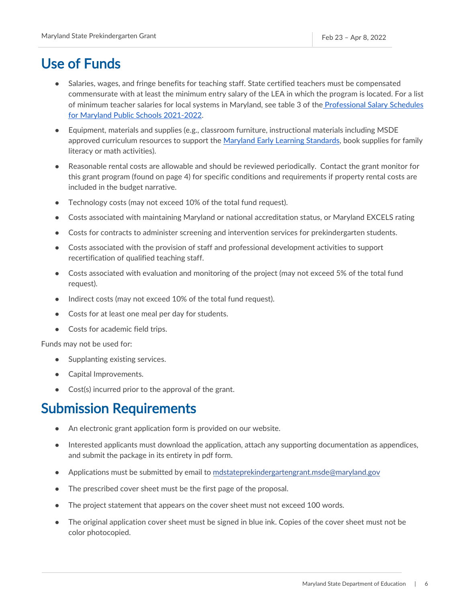### <span id="page-6-0"></span>Use of Funds

- Salaries, wages, and fringe benefits for teaching staff. State certified teachers must be compensated commensurate with at least the minimum entry salary of the LEA in which the program is located. For a list of minimum teacher salaries for local systems in Maryland, see table 3 of the [Professional Salary Schedules](https://www.marylandpublicschools.org/about/Documents/DCAA/SSP/20212022Staff/2022ProfessionalSalarySchedules.pdf) [for Maryland Public Schools 2021-2022.](https://www.marylandpublicschools.org/about/Documents/DCAA/SSP/20212022Staff/2022ProfessionalSalarySchedules.pdf)
- Equipment, materials and supplies (e.g., classroom furniture, instructional materials including MSDE approved curriculum resources to support the [Maryland Early Learning Standards,](https://earlychildhood.marylandpublicschools.org/system/files/filedepot/4/msde-pedagogy-report-_appendix_2016.pdf) book supplies for family literacy or math activities).
- Reasonable rental costs are allowable and should be reviewed periodically. Contact the grant monitor for this grant program (found on page 4) for specific conditions and requirements if property rental costs are included in the budget narrative.
- Technology costs (may not exceed 10% of the total fund request).
- Costs associated with maintaining Maryland or national accreditation status, or Maryland EXCELS rating
- Costs for contracts to administer screening and intervention services for prekindergarten students.
- Costs associated with the provision of staff and professional development activities to support recertification of qualified teaching staff.
- Costs associated with evaluation and monitoring of the project (may not exceed 5% of the total fund request).
- Indirect costs (may not exceed 10% of the total fund request).
- Costs for at least one meal per day for students.
- Costs for academic field trips.

Funds may not be used for:

- Supplanting existing services.
- Capital Improvements.
- Cost(s) incurred prior to the approval of the grant.

### <span id="page-6-1"></span>Submission Requirements

- An electronic grant application form is provided on our website.
- Interested applicants must download the application, attach any supporting documentation as appendices, and submit the package in its entirety in pdf form.
- Applications must be submitted by email to [mdstateprekindergartengrant.msde@maryl](mailto:prekexpansiongrant.msde@maryland.gov)and.gov
- The prescribed cover sheet must be the first page of the proposal.
- The project statement that appears on the cover sheet must not exceed 100 words.
- The original application cover sheet must be signed in blue ink. Copies of the cover sheet must not be color photocopied.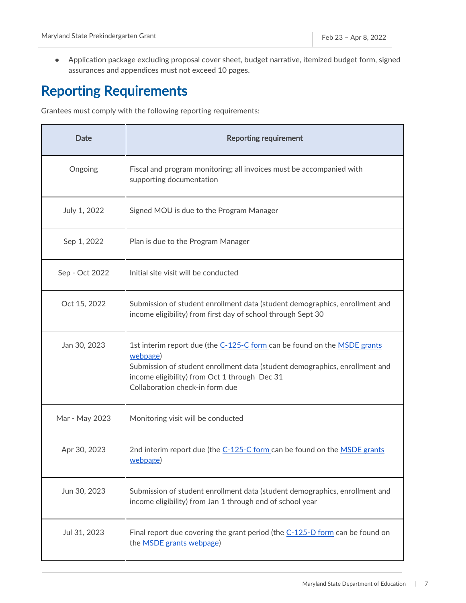● Application package excluding proposal cover sheet, budget narrative, itemized budget form, signed assurances and appendices must not exceed 10 pages.

# <span id="page-7-0"></span>Reporting Requirements

Grantees must comply with the following reporting requirements:

| Date           | <b>Reporting requirement</b>                                                                                                                                                                                                                            |
|----------------|---------------------------------------------------------------------------------------------------------------------------------------------------------------------------------------------------------------------------------------------------------|
| Ongoing        | Fiscal and program monitoring; all invoices must be accompanied with<br>supporting documentation                                                                                                                                                        |
| July 1, 2022   | Signed MOU is due to the Program Manager                                                                                                                                                                                                                |
| Sep 1, 2022    | Plan is due to the Program Manager                                                                                                                                                                                                                      |
| Sep - Oct 2022 | Initial site visit will be conducted                                                                                                                                                                                                                    |
| Oct 15, 2022   | Submission of student enrollment data (student demographics, enrollment and<br>income eligibility) from first day of school through Sept 30                                                                                                             |
| Jan 30, 2023   | 1st interim report due (the C-125-C form can be found on the MSDE grants<br>webpage)<br>Submission of student enrollment data (student demographics, enrollment and<br>income eligibility) from Oct 1 through Dec 31<br>Collaboration check-in form due |
| Mar - May 2023 | Monitoring visit will be conducted                                                                                                                                                                                                                      |
| Apr 30, 2023   | 2nd interim report due (the C-125-C form can be found on the MSDE grants<br>webpage)                                                                                                                                                                    |
| Jun 30, 2023   | Submission of student enrollment data (student demographics, enrollment and<br>income eligibility) from Jan 1 through end of school year                                                                                                                |
| Jul 31, 2023   | Final report due covering the grant period (the C-125-D form can be found on<br>the <b>MSDE</b> grants webpage)                                                                                                                                         |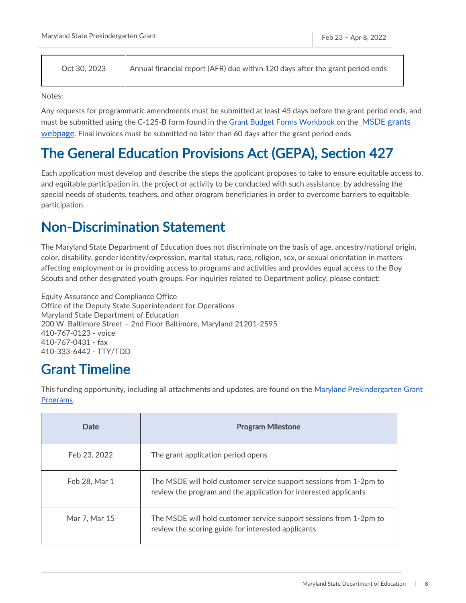Oct 30, 2023 Annual financial report (AFR) due within 120 days after the grant period ends

Notes:

Any requests for programmatic amendments must be submitted at least 45 days before the grant period ends, and must be submitted using the C-125-B form found in the [Grant Budget Forms Workbook](https://marylandpublicschools.org/about/Pages/Grants/BudgetInfo.aspx) on the [MSDE grants](https://www.marylandpublicschools.org/about/Pages/Grants/Forms.aspx)  [webpage.](https://www.marylandpublicschools.org/about/Pages/Grants/Forms.aspx) Final invoices must be submitted no later than 60 days after the grant period ends

## <span id="page-8-0"></span>The General Education Provisions Act (GEPA), Section 427

Each application must develop and describe the steps the applicant proposes to take to ensure equitable access to, and equitable participation in, the project or activity to be conducted with such assistance, by addressing the special needs of students, teachers, and other program beneficiaries in order to overcome barriers to equitable participation.

## <span id="page-8-1"></span>Non-Discrimination Statement

The Maryland State Department of Education does not discriminate on the basis of age, ancestry/national origin, color, disability, gender identity/expression, marital status, race, religion, sex, or sexual orientation in matters affecting employment or in providing access to programs and activities and provides equal access to the Boy Scouts and other designated youth groups. For inquiries related to Department policy, please contact:

Equity Assurance and Compliance Office Office of the Deputy State Superintendent for Operations Maryland State Department of Education 200 W. Baltimore Street – 2nd Floor Baltimore, Maryland 21201-2595 410-767-0123 - voice 410-767-0431 - fax 410-333-6442 - TTY/TDD

## <span id="page-8-2"></span>Grant Timeline

This funding opportunity, including all attachments and updates, are found on the Maryland Prekindergarten Grant [Programs.](https://earlychildhood.marylandpublicschools.org/maryland-prek-grant-programs)

| Date          | <b>Program Milestone</b>                                                                                                               |
|---------------|----------------------------------------------------------------------------------------------------------------------------------------|
| Feb 23, 2022  | The grant application period opens                                                                                                     |
| Feb 28, Mar 1 | The MSDE will hold customer service support sessions from 1-2pm to<br>review the program and the application for interested applicants |
| Mar 7, Mar 15 | The MSDE will hold customer service support sessions from 1-2pm to<br>review the scoring guide for interested applicants               |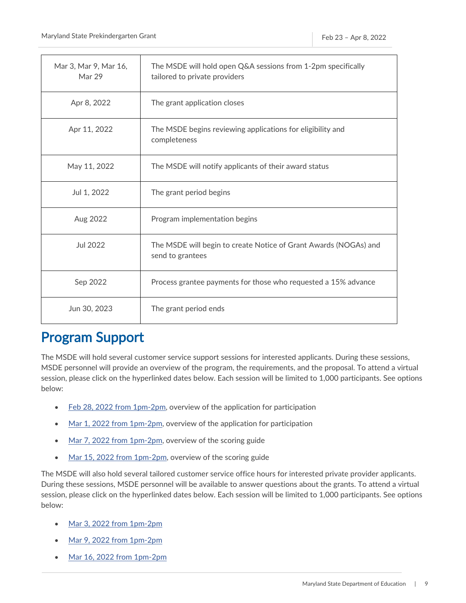| Mar 3, Mar 9, Mar 16,<br>Mar 29 | The MSDE will hold open Q&A sessions from 1-2pm specifically<br>tailored to private providers |
|---------------------------------|-----------------------------------------------------------------------------------------------|
| Apr 8, 2022                     | The grant application closes                                                                  |
| Apr 11, 2022                    | The MSDE begins reviewing applications for eligibility and<br>completeness                    |
| May 11, 2022                    | The MSDE will notify applicants of their award status                                         |
| Jul 1, 2022                     | The grant period begins                                                                       |
| Aug 2022                        | Program implementation begins                                                                 |
| Jul 2022                        | The MSDE will begin to create Notice of Grant Awards (NOGAs) and<br>send to grantees          |
| Sep 2022                        | Process grantee payments for those who requested a 15% advance                                |
| Jun 30, 2023                    | The grant period ends                                                                         |

### <span id="page-9-0"></span>Program Support

The MSDE will hold several customer service support sessions for interested applicants. During these sessions, MSDE personnel will provide an overview of the program, the requirements, and the proposal. To attend a virtual session, please click on the hyperlinked dates below. Each session will be limited to 1,000 participants. See options below:

- [Feb 28, 2022 from 1pm-2pm,](https://msde.webex.com/msde/j.php?MTID=me490f8e7a9f8f9ad1c5c544272d09b92) overview of the application for participation
- [Mar 1, 2022 from 1pm-2pm,](https://msde.webex.com/msde/j.php?MTID=m7122584fddfe14f5b062f68016468d3e) overview of the application for participation
- Mar 7, [2022 from 1pm-2pm,](https://msde.webex.com/msde/j.php?MTID=mbe93ee08ac109c4121924431e29867af) overview of the scoring guide
- [Mar 15, 2022 from 1pm-2pm,](https://msde.webex.com/msde/j.php?MTID=m3a0f6980b243a42fd82d2af2c60c80df) overview of the scoring guide

The MSDE will also hold several tailored customer service office hours for interested private provider applicants. During these sessions, MSDE personnel will be available to answer questions about the grants. To attend a virtual session, please click on the hyperlinked dates below. Each session will be limited to 1,000 participants. See options below:

- [Mar 3, 2022 from 1pm-2pm](https://msde.webex.com/msde/j.php?MTID=m60dc90b53a3fd462f67637c9e8185063)
- [Mar 9, 2022 from 1pm-2pm](https://msde.webex.com/msde/j.php?MTID=m4ee28d8fab735c4996e22f81d5939040)
- [Mar 16, 2022 from 1pm-2pm](https://msde.webex.com/msde/j.php?MTID=m180538357f925cd0df91cf2b862db4b4)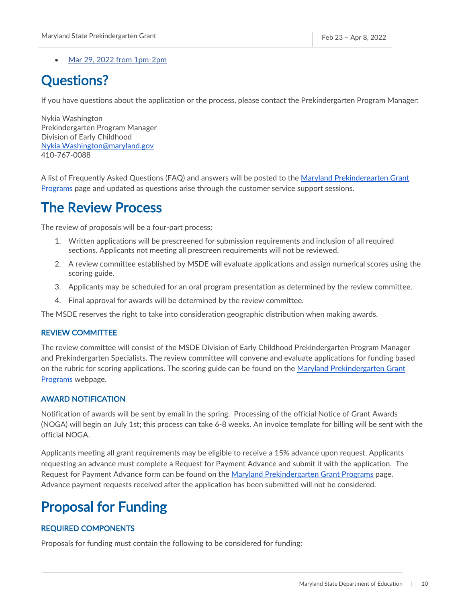• [Mar 29, 2022 from 1pm-2pm](https://msde.webex.com/msde/j.php?MTID=m50ef93a793c0ddcee13488554aa01cfb)

## <span id="page-10-0"></span>Questions?

If you have questions about the application or the process, please contact the Prekindergarten Program Manager:

Nykia Washington Prekindergarten Program Manager Division of Early Childhood [Nykia.Washington@maryland.gov](mailto:Nykia.Washington@maryland.gov)  410-767-0088

A list of Frequently Asked Questions (FAQ) and answers will be posted to the [Maryland Prekindergarten Grant](https://earlychildhood.marylandpublicschools.org/maryland-prek-grant-programs)  [Programs](https://earlychildhood.marylandpublicschools.org/maryland-prek-grant-programs) page and updated as questions arise through the customer service support sessions.

### <span id="page-10-1"></span>The Review Process

The review of proposals will be a four-part process:

- 1. Written applications will be prescreened for submission requirements and inclusion of all required sections. Applicants not meeting all prescreen requirements will not be reviewed.
- 2. A review committee established by MSDE will evaluate applications and assign numerical scores using the scoring guide.
- 3. Applicants may be scheduled for an oral program presentation as determined by the review committee.
- 4. Final approval for awards will be determined by the review committee.

The MSDE reserves the right to take into consideration geographic distribution when making awards.

#### <span id="page-10-2"></span>REVIEW COMMITTEE

The review committee will consist of the MSDE Division of Early Childhood Prekindergarten Program Manager and Prekindergarten Specialists. The review committee will convene and evaluate applications for funding based on the rubric for scoring applications. The scoring guide can be found on the [Maryland Prekindergarten Grant](https://earlychildhood.marylandpublicschools.org/maryland-prek-grant-programs)  [Programs](https://earlychildhood.marylandpublicschools.org/maryland-prek-grant-programs) webpage.

### <span id="page-10-3"></span>AWARD NOTIFICATION

Notification of awards will be sent by email in the spring. Processing of the official Notice of Grant Awards (NOGA) will begin on July 1st; this process can take 6-8 weeks. An invoice template for billing will be sent with the official NOGA.

Applicants meeting all grant requirements may be eligible to receive a 15% advance upon request. Applicants requesting an advance must complete a Request for Payment Advance and submit it with the application. The Request for Payment Advance form can be found on the [Maryland Prekindergarten Grant Programs](https://earlychildhood.marylandpublicschools.org/maryland-prek-grant-programs) page. Advance payment requests received after the application has been submitted will not be considered.

## <span id="page-10-4"></span>Proposal for Funding

### <span id="page-10-5"></span>REQUIRED COMPONENTS

Proposals for funding must contain the following to be considered for funding: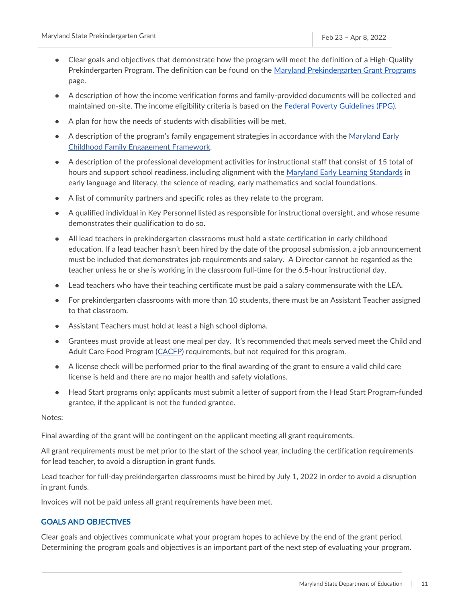- Clear goals and objectives that demonstrate how the program will meet the definition of a High-Quality Prekindergarten Program. The definition can be found on the [Maryland Prekindergarten Grant Programs](https://earlychildhood.marylandpublicschools.org/maryland-prek-grant-programs) page.
- A description of how the income verification forms and family-provided documents will be collected and maintained on-site. The income eligibility criteria is based on the [Federal Poverty Gu](https://aspe.hhs.gov/sites/default/files/documents/4b515876c4674466423975826ac57583/Guidelines-2022.pdf)idelines (FPG).
- A plan for how the needs of students with disabilities will be met.
- A description of the program's family engagement strategies in accordance with the Maryland Early [Childhood Family Engagement Framework.](http://earlychildhood.marylandpublicschools.org/system/files/filedepot/4/md_fam_engage.pdf)
- A description of the professional development activities for instructional staff that consist of 15 total of hours and support school readiness, including alignment with the [Maryland Early Learning Standards](https://earlychildhood.marylandpublicschools.org/system/files/filedepot/4/msde-pedagogy-report-_appendix_2016.pdf) in early language and literacy, the science of reading, early mathematics and social foundations.
- A list of community partners and specific roles as they relate to the program.
- A qualified individual in Key Personnel listed as responsible for instructional oversight, and whose resume demonstrates their qualification to do so.
- All lead teachers in prekindergarten classrooms must hold a state certification in early childhood education. If a lead teacher hasn't been hired by the date of the proposal submission, a job announcement must be included that demonstrates job requirements and salary. A Director cannot be regarded as the teacher unless he or she is working in the classroom full-time for the 6.5-hour instructional day.
- Lead teachers who have their teaching certificate must be paid a salary commensurate with the LEA.
- For prekindergarten classrooms with more than 10 students, there must be an Assistant Teacher assigned to that classroom.
- Assistant Teachers must hold at least a high school diploma.
- Grantees must provide at least one meal per day. It's recommended that meals served meet the Child and Adult Care Food Program [\(CACFP\)](https://marylandpublicschools.org/programs/SchoolandCommunityNutrition/Pages/Programs/CACFP.aspx) requirements, but not required for this program.
- A license check will be performed prior to the final awarding of the grant to ensure a valid child care license is held and there are no major health and safety violations.
- Head Start programs only: applicants must submit a letter of support from the Head Start Program-funded grantee, if the applicant is not the funded grantee.

Notes:

Final awarding of the grant will be contingent on the applicant meeting all grant requirements.

All grant requirements must be met prior to the start of the school year, including the certification requirements for lead teacher, to avoid a disruption in grant funds.

Lead teacher for full-day prekindergarten classrooms must be hired by July 1, 2022 in order to avoid a disruption in grant funds.

Invoices will not be paid unless all grant requirements have been met.

### <span id="page-11-0"></span>GOALS AND OBJECTIVES

Clear goals and objectives communicate what your program hopes to achieve by the end of the grant period. Determining the program goals and objectives is an important part of the next step of evaluating your program.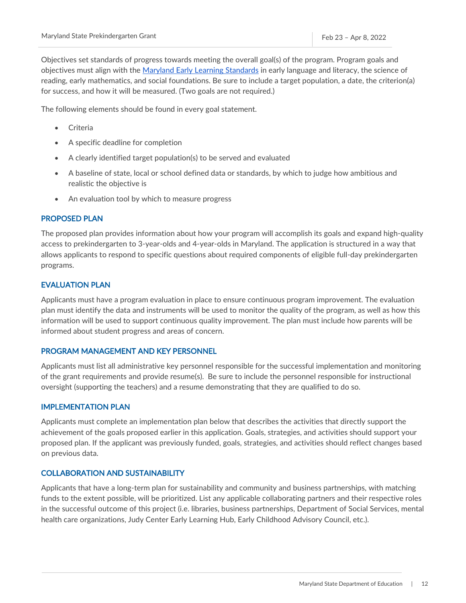Objectives set standards of progress towards meeting the overall goal(s) of the program. Program goals and objectives must align with the [Maryland Early Learning Standards](https://earlychildhood.marylandpublicschools.org/system/files/filedepot/4/msde-pedagogy-report-_appendix_2016.pdf) in early language and literacy, the science of reading, early mathematics, and social foundations. Be sure to include a target population, a date, the criterion(a) for success, and how it will be measured. (Two goals are not required.)

The following elements should be found in every goal statement.

- Criteria
- A specific deadline for completion
- A clearly identified target population(s) to be served and evaluated
- A baseline of state, local or school defined data or standards, by which to judge how ambitious and realistic the objective is
- An evaluation tool by which to measure progress

### <span id="page-12-0"></span>PROPOSED PLAN

The proposed plan provides information about how your program will accomplish its goals and expand high-quality access to prekindergarten to 3-year-olds and 4-year-olds in Maryland. The application is structured in a way that allows applicants to respond to specific questions about required components of eligible full-day prekindergarten programs.

### <span id="page-12-1"></span>EVALUATION PLAN

Applicants must have a program evaluation in place to ensure continuous program improvement. The evaluation plan must identify the data and instruments will be used to monitor the quality of the program, as well as how this information will be used to support continuous quality improvement. The plan must include how parents will be informed about student progress and areas of concern.

### <span id="page-12-2"></span>PROGRAM MANAGEMENT AND KEY PERSONNEL

Applicants must list all administrative key personnel responsible for the successful implementation and monitoring of the grant requirements and provide resume(s). Be sure to include the personnel responsible for instructional oversight (supporting the teachers) and a resume demonstrating that they are qualified to do so.

### <span id="page-12-3"></span>IMPLEMENTATION PLAN

Applicants must complete an implementation plan below that describes the activities that directly support the achievement of the goals proposed earlier in this application. Goals, strategies, and activities should support your proposed plan. If the applicant was previously funded, goals, strategies, and activities should reflect changes based on previous data.

### <span id="page-12-4"></span>COLLABORATION AND SUSTAINABILITY

Applicants that have a long-term plan for sustainability and community and business partnerships, with matching funds to the extent possible, will be prioritized. List any applicable collaborating partners and their respective roles in the successful outcome of this project (i.e. libraries, business partnerships, Department of Social Services, mental health care organizations, Judy Center Early Learning Hub, Early Childhood Advisory Council, etc.).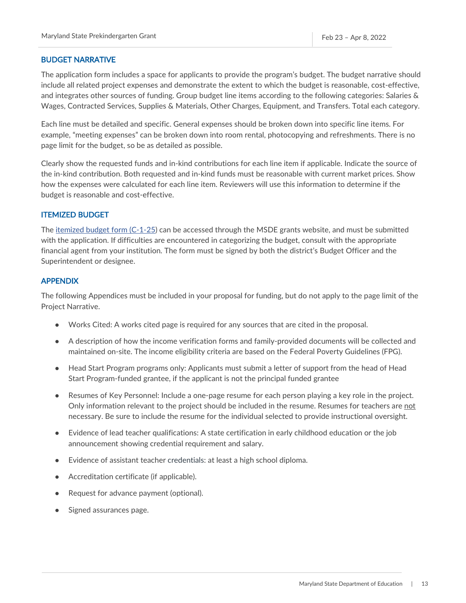#### <span id="page-13-0"></span>BUDGET NARRATIVE

The application form includes a space for applicants to provide the program's budget. The budget narrative should include all related project expenses and demonstrate the extent to which the budget is reasonable, cost-effective, and integrates other sources of funding. Group budget line items according to the following categories: Salaries & Wages, Contracted Services, Supplies & Materials, Other Charges, Equipment, and Transfers. Total each category.

Each line must be detailed and specific. General expenses should be broken down into specific line items. For example, "meeting expenses" can be broken down into room rental, photocopying and refreshments. There is no page limit for the budget, so be as detailed as possible.

Clearly show the requested funds and in-kind contributions for each line item if applicable. Indicate the source of the in-kind contribution. Both requested and in-kind funds must be reasonable with current market prices. Show how the expenses were calculated for each line item. Reviewers will use this information to determine if the budget is reasonable and cost-effective.

#### <span id="page-13-1"></span>ITEMIZED BUDGET

The [itemized budget form \(C-1-25\)](https://marylandpublicschools.org/about/Documents/Grants/GrantForms-12-10-2020.xls) can be accessed through the MSDE grants website, and must be submitted with the application. If difficulties are encountered in categorizing the budget, consult with the appropriate financial agent from your institution. The form must be signed by both the district's Budget Officer and the Superintendent or designee.

#### <span id="page-13-2"></span>APPENDIX

The following Appendices must be included in your proposal for funding, but do not apply to the page limit of the Project Narrative.

- Works Cited: A works cited page is required for any sources that are cited in the proposal.
- A description of how the income verification forms and family-provided documents will be collected and maintained on-site. The income eligibility criteria are based on the Federal Poverty Guidelines (FPG).
- Head Start Program programs only: Applicants must submit a letter of support from the head of Head Start Program-funded grantee, if the applicant is not the principal funded grantee
- Resumes of Key Personnel: Include a one-page resume for each person playing a key role in the project. Only information relevant to the project should be included in the resume. Resumes for teachers are not necessary. Be sure to include the resume for the individual selected to provide instructional oversight.
- Evidence of lead teacher qualifications: A state certification in early childhood education or the job announcement showing credential requirement and salary.
- Evidence of assistant teacher credentials: at least a high school diploma.
- Accreditation certificate (if applicable).
- Request for advance payment (optional).
- Signed assurances page.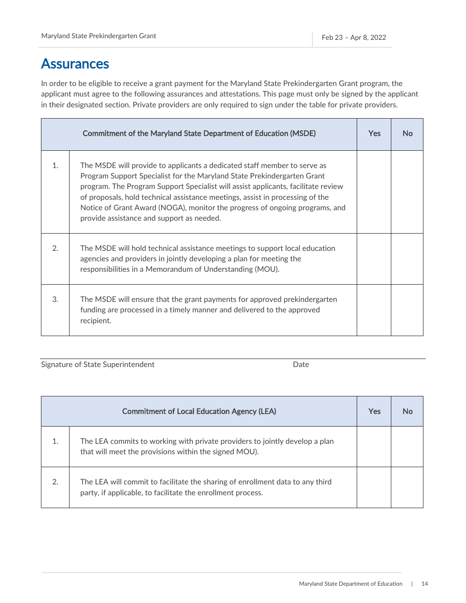### <span id="page-14-0"></span>**Assurances**

In order to be eligible to receive a grant payment for the Maryland State Prekindergarten Grant program, the applicant must agree to the following assurances and attestations. This page must only be signed by the applicant in their designated section. Private providers are only required to sign under the table for private providers.

|                | <b>Commitment of the Maryland State Department of Education (MSDE)</b>                                                                                                                                                                                                                                                                                                                                                                                | <b>Yes</b> | N٥ |
|----------------|-------------------------------------------------------------------------------------------------------------------------------------------------------------------------------------------------------------------------------------------------------------------------------------------------------------------------------------------------------------------------------------------------------------------------------------------------------|------------|----|
| $\mathbf{1}$ . | The MSDE will provide to applicants a dedicated staff member to serve as<br>Program Support Specialist for the Maryland State Prekindergarten Grant<br>program. The Program Support Specialist will assist applicants, facilitate review<br>of proposals, hold technical assistance meetings, assist in processing of the<br>Notice of Grant Award (NOGA), monitor the progress of ongoing programs, and<br>provide assistance and support as needed. |            |    |
| 2.             | The MSDE will hold technical assistance meetings to support local education<br>agencies and providers in jointly developing a plan for meeting the<br>responsibilities in a Memorandum of Understanding (MOU).                                                                                                                                                                                                                                        |            |    |
| 3.             | The MSDE will ensure that the grant payments for approved prekindergarten<br>funding are processed in a timely manner and delivered to the approved<br>recipient.                                                                                                                                                                                                                                                                                     |            |    |

Signature of State Superintendent and Date Date

|    | <b>Commitment of Local Education Agency (LEA)</b>                                                                                            | <b>Yes</b> | No |
|----|----------------------------------------------------------------------------------------------------------------------------------------------|------------|----|
| 1. | The LEA commits to working with private providers to jointly develop a plan<br>that will meet the provisions within the signed MOU).         |            |    |
| 2. | The LEA will commit to facilitate the sharing of enrollment data to any third<br>party, if applicable, to facilitate the enrollment process. |            |    |